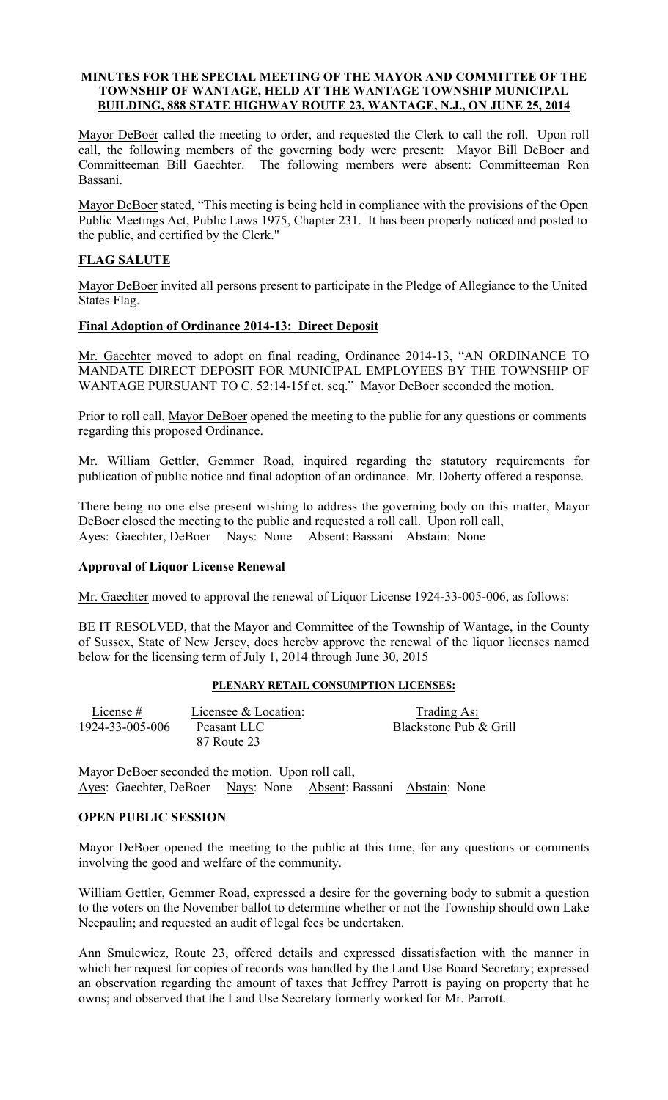#### MINUTES FOR THE SPECIAL MEETING OF THE MAYOR AND COMMITTEE OF THE TOWNSHIP OF WANTAGE, HELD AT THE WANTAGE TOWNSHIP MUNICIPAL BUILDING, 888 STATE HIGHWAY ROUTE 23, WANTAGE, N.J., ON JUNE 25, 2014

Mayor DeBoer called the meeting to order, and requested the Clerk to call the roll. Upon roll call, the following members of the governing body were present: Mayor Bill DeBoer and Committeeman Bill Gaechter. The following members were absent: Committeeman Ron Bassani.

Mayor DeBoer stated, "This meeting is being held in compliance with the provisions of the Open Public Meetings Act, Public Laws 1975, Chapter 231. It has been properly noticed and posted to the public, and certified by the Clerk."

# FLAG SALUTE

Mayor DeBoer invited all persons present to participate in the Pledge of Allegiance to the United States Flag.

## Final Adoption of Ordinance 2014-13: Direct Deposit

Mr. Gaechter moved to adopt on final reading, Ordinance 2014-13, "AN ORDINANCE TO MANDATE DIRECT DEPOSIT FOR MUNICIPAL EMPLOYEES BY THE TOWNSHIP OF WANTAGE PURSUANT TO C. 52:14-15f et. seq." Mayor DeBoer seconded the motion.

Prior to roll call, Mayor DeBoer opened the meeting to the public for any questions or comments regarding this proposed Ordinance.

Mr. William Gettler, Gemmer Road, inquired regarding the statutory requirements for publication of public notice and final adoption of an ordinance. Mr. Doherty offered a response.

There being no one else present wishing to address the governing body on this matter, Mayor DeBoer closed the meeting to the public and requested a roll call. Upon roll call, Ayes: Gaechter, DeBoer Nays: None Absent: Bassani Abstain: None

## Approval of Liquor License Renewal

Mr. Gaechter moved to approval the renewal of Liquor License 1924-33-005-006, as follows:

BE IT RESOLVED, that the Mayor and Committee of the Township of Wantage, in the County of Sussex, State of New Jersey, does hereby approve the renewal of the liquor licenses named below for the licensing term of July 1, 2014 through June 30, 2015

#### PLENARY RETAIL CONSUMPTION LICENSES:

| License $#$     | Licensee & Location:       | Trading As:            |
|-----------------|----------------------------|------------------------|
| 1924-33-005-006 | Peasant LLC<br>87 Route 23 | Blackstone Pub & Grill |

Mayor DeBoer seconded the motion. Upon roll call, Ayes: Gaechter, DeBoer Nays: None Absent: Bassani Abstain: None

## OPEN PUBLIC SESSION

Mayor DeBoer opened the meeting to the public at this time, for any questions or comments involving the good and welfare of the community.

William Gettler, Gemmer Road, expressed a desire for the governing body to submit a question to the voters on the November ballot to determine whether or not the Township should own Lake Neepaulin; and requested an audit of legal fees be undertaken.

Ann Smulewicz, Route 23, offered details and expressed dissatisfaction with the manner in which her request for copies of records was handled by the Land Use Board Secretary; expressed an observation regarding the amount of taxes that Jeffrey Parrott is paying on property that he owns; and observed that the Land Use Secretary formerly worked for Mr. Parrott.